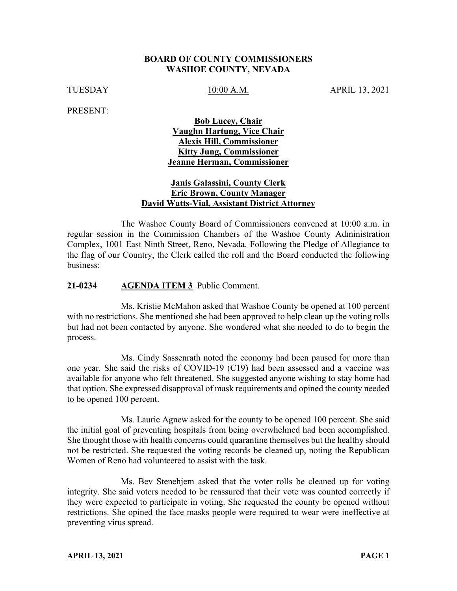#### **BOARD OF COUNTY COMMISSIONERS WASHOE COUNTY, NEVADA**

TUESDAY 10:00 A.M. APRIL 13, 2021

PRESENT:

#### **Bob Lucey, Chair Vaughn Hartung, Vice Chair Alexis Hill, Commissioner Kitty Jung, Commissioner Jeanne Herman, Commissioner**

#### **Janis Galassini, County Clerk Eric Brown, County Manager David Watts-Vial, Assistant District Attorney**

The Washoe County Board of Commissioners convened at 10:00 a.m. in regular session in the Commission Chambers of the Washoe County Administration Complex, 1001 East Ninth Street, Reno, Nevada. Following the Pledge of Allegiance to the flag of our Country, the Clerk called the roll and the Board conducted the following business:

#### **21-0234 AGENDA ITEM 3** Public Comment.

Ms. Kristie McMahon asked that Washoe County be opened at 100 percent with no restrictions. She mentioned she had been approved to help clean up the voting rolls but had not been contacted by anyone. She wondered what she needed to do to begin the process.

Ms. Cindy Sassenrath noted the economy had been paused for more than one year. She said the risks of COVID-19 (C19) had been assessed and a vaccine was available for anyone who felt threatened. She suggested anyone wishing to stay home had that option. She expressed disapproval of mask requirements and opined the county needed to be opened 100 percent.

Ms. Laurie Agnew asked for the county to be opened 100 percent. She said the initial goal of preventing hospitals from being overwhelmed had been accomplished. She thought those with health concerns could quarantine themselves but the healthy should not be restricted. She requested the voting records be cleaned up, noting the Republican Women of Reno had volunteered to assist with the task.

Ms. Bev Stenehjem asked that the voter rolls be cleaned up for voting integrity. She said voters needed to be reassured that their vote was counted correctly if they were expected to participate in voting. She requested the county be opened without restrictions. She opined the face masks people were required to wear were ineffective at preventing virus spread.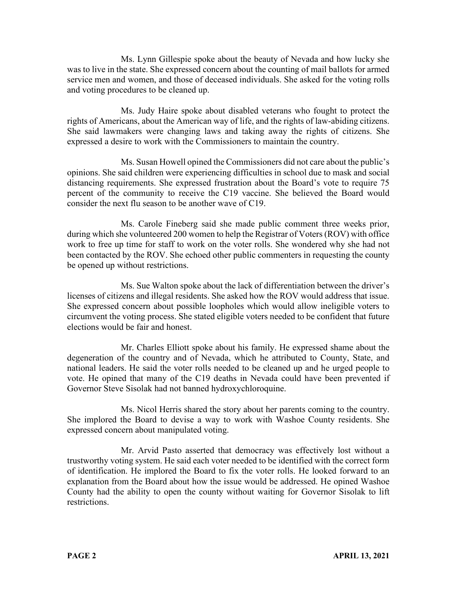Ms. Lynn Gillespie spoke about the beauty of Nevada and how lucky she was to live in the state. She expressed concern about the counting of mail ballots for armed service men and women, and those of deceased individuals. She asked for the voting rolls and voting procedures to be cleaned up.

Ms. Judy Haire spoke about disabled veterans who fought to protect the rights of Americans, about the American way of life, and the rights of law-abiding citizens. She said lawmakers were changing laws and taking away the rights of citizens. She expressed a desire to work with the Commissioners to maintain the country.

Ms. Susan Howell opined the Commissioners did not care about the public's opinions. She said children were experiencing difficulties in school due to mask and social distancing requirements. She expressed frustration about the Board's vote to require 75 percent of the community to receive the C19 vaccine. She believed the Board would consider the next flu season to be another wave of C19.

Ms. Carole Fineberg said she made public comment three weeks prior, during which she volunteered 200 women to help the Registrar of Voters (ROV) with office work to free up time for staff to work on the voter rolls. She wondered why she had not been contacted by the ROV. She echoed other public commenters in requesting the county be opened up without restrictions.

Ms. Sue Walton spoke about the lack of differentiation between the driver's licenses of citizens and illegal residents. She asked how the ROV would address that issue. She expressed concern about possible loopholes which would allow ineligible voters to circumvent the voting process. She stated eligible voters needed to be confident that future elections would be fair and honest.

Mr. Charles Elliott spoke about his family. He expressed shame about the degeneration of the country and of Nevada, which he attributed to County, State, and national leaders. He said the voter rolls needed to be cleaned up and he urged people to vote. He opined that many of the C19 deaths in Nevada could have been prevented if Governor Steve Sisolak had not banned hydroxychloroquine.

Ms. Nicol Herris shared the story about her parents coming to the country. She implored the Board to devise a way to work with Washoe County residents. She expressed concern about manipulated voting.

Mr. Arvid Pasto asserted that democracy was effectively lost without a trustworthy voting system. He said each voter needed to be identified with the correct form of identification. He implored the Board to fix the voter rolls. He looked forward to an explanation from the Board about how the issue would be addressed. He opined Washoe County had the ability to open the county without waiting for Governor Sisolak to lift restrictions.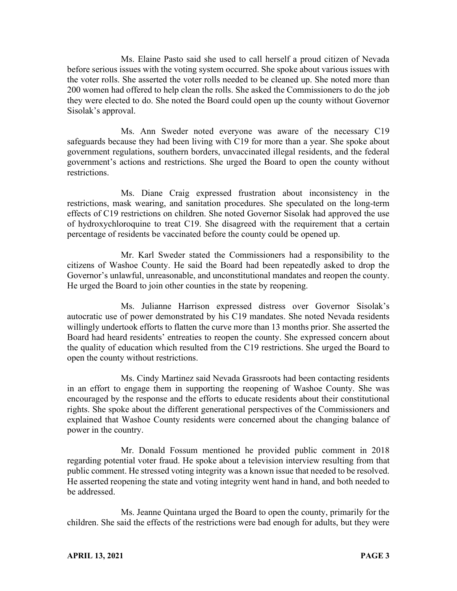Ms. Elaine Pasto said she used to call herself a proud citizen of Nevada before serious issues with the voting system occurred. She spoke about various issues with the voter rolls. She asserted the voter rolls needed to be cleaned up. She noted more than 200 women had offered to help clean the rolls. She asked the Commissioners to do the job they were elected to do. She noted the Board could open up the county without Governor Sisolak's approval.

Ms. Ann Sweder noted everyone was aware of the necessary C19 safeguards because they had been living with C19 for more than a year. She spoke about government regulations, southern borders, unvaccinated illegal residents, and the federal government's actions and restrictions. She urged the Board to open the county without restrictions.

Ms. Diane Craig expressed frustration about inconsistency in the restrictions, mask wearing, and sanitation procedures. She speculated on the long-term effects of C19 restrictions on children. She noted Governor Sisolak had approved the use of hydroxychloroquine to treat C19. She disagreed with the requirement that a certain percentage of residents be vaccinated before the county could be opened up.

Mr. Karl Sweder stated the Commissioners had a responsibility to the citizens of Washoe County. He said the Board had been repeatedly asked to drop the Governor's unlawful, unreasonable, and unconstitutional mandates and reopen the county. He urged the Board to join other counties in the state by reopening.

Ms. Julianne Harrison expressed distress over Governor Sisolak's autocratic use of power demonstrated by his C19 mandates. She noted Nevada residents willingly undertook efforts to flatten the curve more than 13 months prior. She asserted the Board had heard residents' entreaties to reopen the county. She expressed concern about the quality of education which resulted from the C19 restrictions. She urged the Board to open the county without restrictions.

Ms. Cindy Martinez said Nevada Grassroots had been contacting residents in an effort to engage them in supporting the reopening of Washoe County. She was encouraged by the response and the efforts to educate residents about their constitutional rights. She spoke about the different generational perspectives of the Commissioners and explained that Washoe County residents were concerned about the changing balance of power in the country.

Mr. Donald Fossum mentioned he provided public comment in 2018 regarding potential voter fraud. He spoke about a television interview resulting from that public comment. He stressed voting integrity was a known issue that needed to be resolved. He asserted reopening the state and voting integrity went hand in hand, and both needed to be addressed.

Ms. Jeanne Quintana urged the Board to open the county, primarily for the children. She said the effects of the restrictions were bad enough for adults, but they were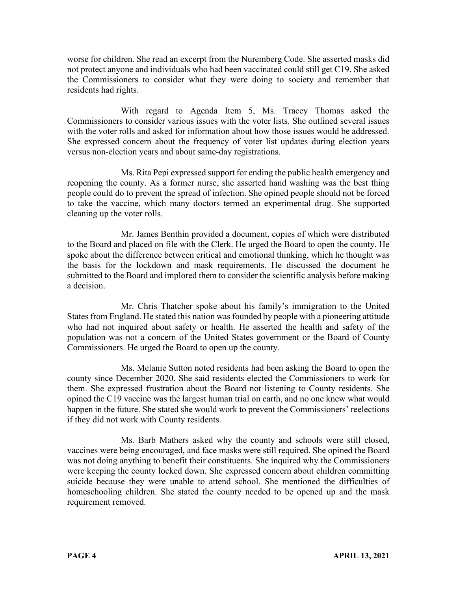worse for children. She read an excerpt from the Nuremberg Code. She asserted masks did not protect anyone and individuals who had been vaccinated could still get C19. She asked the Commissioners to consider what they were doing to society and remember that residents had rights.

With regard to Agenda Item 5, Ms. Tracey Thomas asked the Commissioners to consider various issues with the voter lists. She outlined several issues with the voter rolls and asked for information about how those issues would be addressed. She expressed concern about the frequency of voter list updates during election years versus non-election years and about same-day registrations.

Ms. Rita Pepi expressed support for ending the public health emergency and reopening the county. As a former nurse, she asserted hand washing was the best thing people could do to prevent the spread of infection. She opined people should not be forced to take the vaccine, which many doctors termed an experimental drug. She supported cleaning up the voter rolls.

Mr. James Benthin provided a document, copies of which were distributed to the Board and placed on file with the Clerk. He urged the Board to open the county. He spoke about the difference between critical and emotional thinking, which he thought was the basis for the lockdown and mask requirements. He discussed the document he submitted to the Board and implored them to consider the scientific analysis before making a decision.

Mr. Chris Thatcher spoke about his family's immigration to the United States from England. He stated this nation was founded by people with a pioneering attitude who had not inquired about safety or health. He asserted the health and safety of the population was not a concern of the United States government or the Board of County Commissioners. He urged the Board to open up the county.

Ms. Melanie Sutton noted residents had been asking the Board to open the county since December 2020. She said residents elected the Commissioners to work for them. She expressed frustration about the Board not listening to County residents. She opined the C19 vaccine was the largest human trial on earth, and no one knew what would happen in the future. She stated she would work to prevent the Commissioners' reelections if they did not work with County residents.

Ms. Barb Mathers asked why the county and schools were still closed, vaccines were being encouraged, and face masks were still required. She opined the Board was not doing anything to benefit their constituents. She inquired why the Commissioners were keeping the county locked down. She expressed concern about children committing suicide because they were unable to attend school. She mentioned the difficulties of homeschooling children. She stated the county needed to be opened up and the mask requirement removed.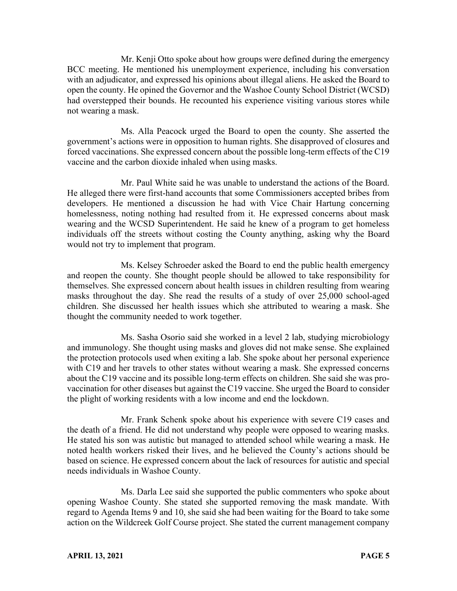Mr. Kenji Otto spoke about how groups were defined during the emergency BCC meeting. He mentioned his unemployment experience, including his conversation with an adjudicator, and expressed his opinions about illegal aliens. He asked the Board to open the county. He opined the Governor and the Washoe County School District (WCSD) had overstepped their bounds. He recounted his experience visiting various stores while not wearing a mask.

Ms. Alla Peacock urged the Board to open the county. She asserted the government's actions were in opposition to human rights. She disapproved of closures and forced vaccinations. She expressed concern about the possible long-term effects of the C19 vaccine and the carbon dioxide inhaled when using masks.

Mr. Paul White said he was unable to understand the actions of the Board. He alleged there were first-hand accounts that some Commissioners accepted bribes from developers. He mentioned a discussion he had with Vice Chair Hartung concerning homelessness, noting nothing had resulted from it. He expressed concerns about mask wearing and the WCSD Superintendent. He said he knew of a program to get homeless individuals off the streets without costing the County anything, asking why the Board would not try to implement that program.

Ms. Kelsey Schroeder asked the Board to end the public health emergency and reopen the county. She thought people should be allowed to take responsibility for themselves. She expressed concern about health issues in children resulting from wearing masks throughout the day. She read the results of a study of over 25,000 school-aged children. She discussed her health issues which she attributed to wearing a mask. She thought the community needed to work together.

Ms. Sasha Osorio said she worked in a level 2 lab, studying microbiology and immunology. She thought using masks and gloves did not make sense. She explained the protection protocols used when exiting a lab. She spoke about her personal experience with C19 and her travels to other states without wearing a mask. She expressed concerns about the C19 vaccine and its possible long-term effects on children. She said she was provaccination for other diseases but against the C19 vaccine. She urged the Board to consider the plight of working residents with a low income and end the lockdown.

Mr. Frank Schenk spoke about his experience with severe C19 cases and the death of a friend. He did not understand why people were opposed to wearing masks. He stated his son was autistic but managed to attended school while wearing a mask. He noted health workers risked their lives, and he believed the County's actions should be based on science. He expressed concern about the lack of resources for autistic and special needs individuals in Washoe County.

Ms. Darla Lee said she supported the public commenters who spoke about opening Washoe County. She stated she supported removing the mask mandate. With regard to Agenda Items 9 and 10, she said she had been waiting for the Board to take some action on the Wildcreek Golf Course project. She stated the current management company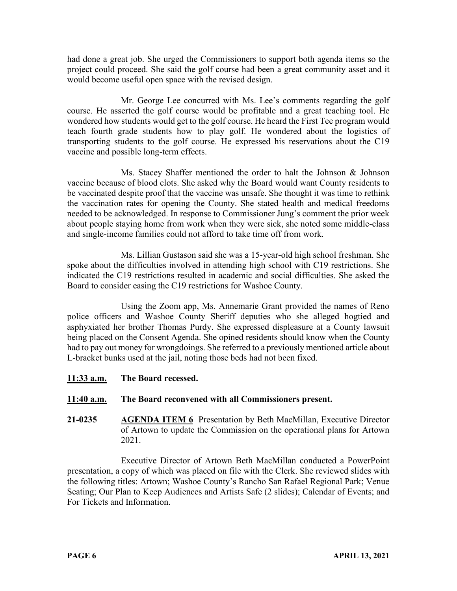had done a great job. She urged the Commissioners to support both agenda items so the project could proceed. She said the golf course had been a great community asset and it would become useful open space with the revised design.

Mr. George Lee concurred with Ms. Lee's comments regarding the golf course. He asserted the golf course would be profitable and a great teaching tool. He wondered how students would get to the golf course. He heard the First Tee program would teach fourth grade students how to play golf. He wondered about the logistics of transporting students to the golf course. He expressed his reservations about the C19 vaccine and possible long-term effects.

Ms. Stacey Shaffer mentioned the order to halt the Johnson & Johnson vaccine because of blood clots. She asked why the Board would want County residents to be vaccinated despite proof that the vaccine was unsafe. She thought it was time to rethink the vaccination rates for opening the County. She stated health and medical freedoms needed to be acknowledged. In response to Commissioner Jung's comment the prior week about people staying home from work when they were sick, she noted some middle-class and single-income families could not afford to take time off from work.

Ms. Lillian Gustason said she was a 15-year-old high school freshman. She spoke about the difficulties involved in attending high school with C19 restrictions. She indicated the C19 restrictions resulted in academic and social difficulties. She asked the Board to consider easing the C19 restrictions for Washoe County.

Using the Zoom app, Ms. Annemarie Grant provided the names of Reno police officers and Washoe County Sheriff deputies who she alleged hogtied and asphyxiated her brother Thomas Purdy. She expressed displeasure at a County lawsuit being placed on the Consent Agenda. She opined residents should know when the County had to pay out money for wrongdoings. She referred to a previously mentioned article about L-bracket bunks used at the jail, noting those beds had not been fixed.

**11:33 a.m. The Board recessed.**

# **11:40 a.m. The Board reconvened with all Commissioners present.**

**21-0235 AGENDA ITEM 6** Presentation by Beth MacMillan, Executive Director of Artown to update the Commission on the operational plans for Artown 2021.

Executive Director of Artown Beth MacMillan conducted a PowerPoint presentation, a copy of which was placed on file with the Clerk. She reviewed slides with the following titles: Artown; Washoe County's Rancho San Rafael Regional Park; Venue Seating; Our Plan to Keep Audiences and Artists Safe (2 slides); Calendar of Events; and For Tickets and Information.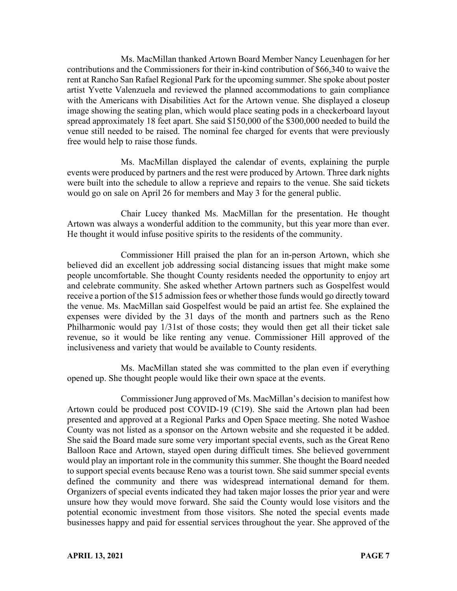Ms. MacMillan thanked Artown Board Member Nancy Leuenhagen for her contributions and the Commissioners for their in-kind contribution of \$66,340 to waive the rent at Rancho San Rafael Regional Park for the upcoming summer. She spoke about poster artist Yvette Valenzuela and reviewed the planned accommodations to gain compliance with the Americans with Disabilities Act for the Artown venue. She displayed a closeup image showing the seating plan, which would place seating pods in a checkerboard layout spread approximately 18 feet apart. She said \$150,000 of the \$300,000 needed to build the venue still needed to be raised. The nominal fee charged for events that were previously free would help to raise those funds.

Ms. MacMillan displayed the calendar of events, explaining the purple events were produced by partners and the rest were produced by Artown. Three dark nights were built into the schedule to allow a reprieve and repairs to the venue. She said tickets would go on sale on April 26 for members and May 3 for the general public.

Chair Lucey thanked Ms. MacMillan for the presentation. He thought Artown was always a wonderful addition to the community, but this year more than ever. He thought it would infuse positive spirits to the residents of the community.

Commissioner Hill praised the plan for an in-person Artown, which she believed did an excellent job addressing social distancing issues that might make some people uncomfortable. She thought County residents needed the opportunity to enjoy art and celebrate community. She asked whether Artown partners such as Gospelfest would receive a portion of the \$15 admission fees or whether those funds would go directly toward the venue. Ms. MacMillan said Gospelfest would be paid an artist fee. She explained the expenses were divided by the 31 days of the month and partners such as the Reno Philharmonic would pay 1/31st of those costs; they would then get all their ticket sale revenue, so it would be like renting any venue. Commissioner Hill approved of the inclusiveness and variety that would be available to County residents.

Ms. MacMillan stated she was committed to the plan even if everything opened up. She thought people would like their own space at the events.

Commissioner Jung approved of Ms. MacMillan's decision to manifest how Artown could be produced post COVID-19 (C19). She said the Artown plan had been presented and approved at a Regional Parks and Open Space meeting. She noted Washoe County was not listed as a sponsor on the Artown website and she requested it be added. She said the Board made sure some very important special events, such as the Great Reno Balloon Race and Artown, stayed open during difficult times. She believed government would play an important role in the community this summer. She thought the Board needed to support special events because Reno was a tourist town. She said summer special events defined the community and there was widespread international demand for them. Organizers of special events indicated they had taken major losses the prior year and were unsure how they would move forward. She said the County would lose visitors and the potential economic investment from those visitors. She noted the special events made businesses happy and paid for essential services throughout the year. She approved of the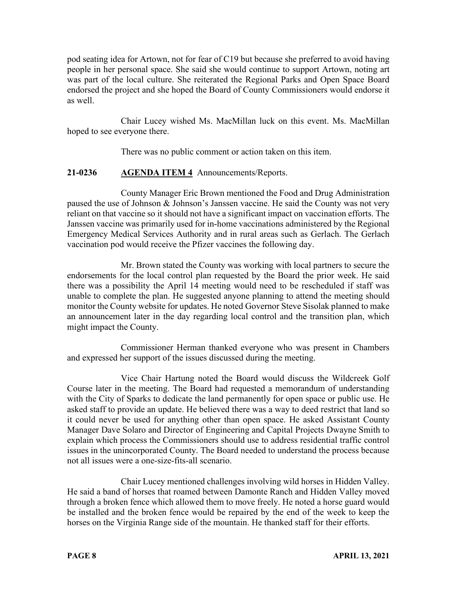pod seating idea for Artown, not for fear of C19 but because she preferred to avoid having people in her personal space. She said she would continue to support Artown, noting art was part of the local culture. She reiterated the Regional Parks and Open Space Board endorsed the project and she hoped the Board of County Commissioners would endorse it as well.

Chair Lucey wished Ms. MacMillan luck on this event. Ms. MacMillan hoped to see everyone there.

There was no public comment or action taken on this item.

# **21-0236 AGENDA ITEM 4** Announcements/Reports.

County Manager Eric Brown mentioned the Food and Drug Administration paused the use of Johnson & Johnson's Janssen vaccine. He said the County was not very reliant on that vaccine so it should not have a significant impact on vaccination efforts. The Janssen vaccine was primarily used for in-home vaccinations administered by the Regional Emergency Medical Services Authority and in rural areas such as Gerlach. The Gerlach vaccination pod would receive the Pfizer vaccines the following day.

Mr. Brown stated the County was working with local partners to secure the endorsements for the local control plan requested by the Board the prior week. He said there was a possibility the April 14 meeting would need to be rescheduled if staff was unable to complete the plan. He suggested anyone planning to attend the meeting should monitor the County website for updates. He noted Governor Steve Sisolak planned to make an announcement later in the day regarding local control and the transition plan, which might impact the County.

Commissioner Herman thanked everyone who was present in Chambers and expressed her support of the issues discussed during the meeting.

Vice Chair Hartung noted the Board would discuss the Wildcreek Golf Course later in the meeting. The Board had requested a memorandum of understanding with the City of Sparks to dedicate the land permanently for open space or public use. He asked staff to provide an update. He believed there was a way to deed restrict that land so it could never be used for anything other than open space. He asked Assistant County Manager Dave Solaro and Director of Engineering and Capital Projects Dwayne Smith to explain which process the Commissioners should use to address residential traffic control issues in the unincorporated County. The Board needed to understand the process because not all issues were a one-size-fits-all scenario.

Chair Lucey mentioned challenges involving wild horses in Hidden Valley. He said a band of horses that roamed between Damonte Ranch and Hidden Valley moved through a broken fence which allowed them to move freely. He noted a horse guard would be installed and the broken fence would be repaired by the end of the week to keep the horses on the Virginia Range side of the mountain. He thanked staff for their efforts.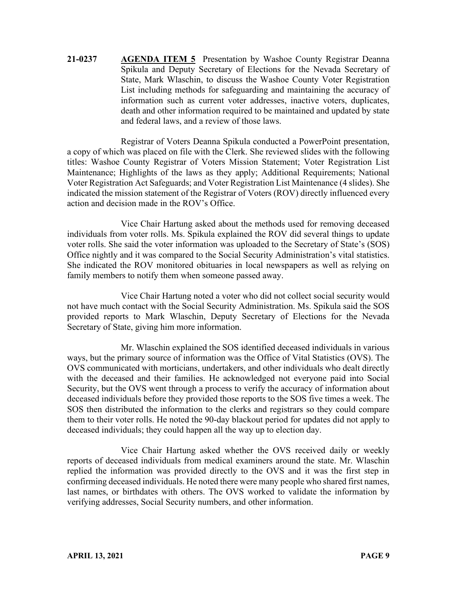**21-0237 AGENDA ITEM 5** Presentation by Washoe County Registrar Deanna Spikula and Deputy Secretary of Elections for the Nevada Secretary of State, Mark Wlaschin, to discuss the Washoe County Voter Registration List including methods for safeguarding and maintaining the accuracy of information such as current voter addresses, inactive voters, duplicates, death and other information required to be maintained and updated by state and federal laws, and a review of those laws.

Registrar of Voters Deanna Spikula conducted a PowerPoint presentation, a copy of which was placed on file with the Clerk. She reviewed slides with the following titles: Washoe County Registrar of Voters Mission Statement; Voter Registration List Maintenance; Highlights of the laws as they apply; Additional Requirements; National Voter Registration Act Safeguards; and Voter Registration List Maintenance (4 slides). She indicated the mission statement of the Registrar of Voters (ROV) directly influenced every action and decision made in the ROV's Office.

Vice Chair Hartung asked about the methods used for removing deceased individuals from voter rolls. Ms. Spikula explained the ROV did several things to update voter rolls. She said the voter information was uploaded to the Secretary of State's (SOS) Office nightly and it was compared to the Social Security Administration's vital statistics. She indicated the ROV monitored obituaries in local newspapers as well as relying on family members to notify them when someone passed away.

Vice Chair Hartung noted a voter who did not collect social security would not have much contact with the Social Security Administration. Ms. Spikula said the SOS provided reports to Mark Wlaschin, Deputy Secretary of Elections for the Nevada Secretary of State, giving him more information.

Mr. Wlaschin explained the SOS identified deceased individuals in various ways, but the primary source of information was the Office of Vital Statistics (OVS). The OVS communicated with morticians, undertakers, and other individuals who dealt directly with the deceased and their families. He acknowledged not everyone paid into Social Security, but the OVS went through a process to verify the accuracy of information about deceased individuals before they provided those reports to the SOS five times a week. The SOS then distributed the information to the clerks and registrars so they could compare them to their voter rolls. He noted the 90-day blackout period for updates did not apply to deceased individuals; they could happen all the way up to election day.

Vice Chair Hartung asked whether the OVS received daily or weekly reports of deceased individuals from medical examiners around the state. Mr. Wlaschin replied the information was provided directly to the OVS and it was the first step in confirming deceased individuals. He noted there were many people who shared first names, last names, or birthdates with others. The OVS worked to validate the information by verifying addresses, Social Security numbers, and other information.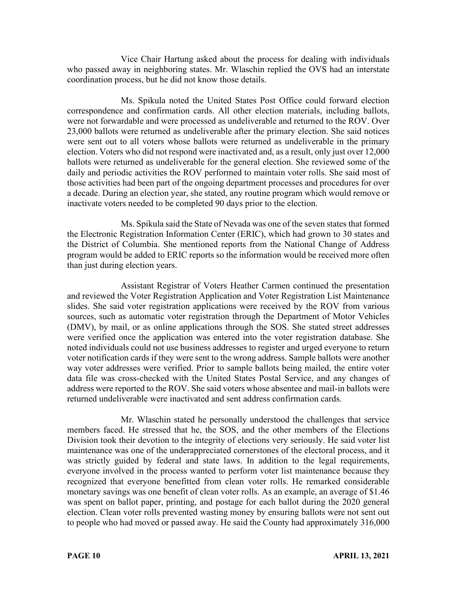Vice Chair Hartung asked about the process for dealing with individuals who passed away in neighboring states. Mr. Wlaschin replied the OVS had an interstate coordination process, but he did not know those details.

Ms. Spikula noted the United States Post Office could forward election correspondence and confirmation cards. All other election materials, including ballots, were not forwardable and were processed as undeliverable and returned to the ROV. Over 23,000 ballots were returned as undeliverable after the primary election. She said notices were sent out to all voters whose ballots were returned as undeliverable in the primary election. Voters who did not respond were inactivated and, as a result, only just over 12,000 ballots were returned as undeliverable for the general election. She reviewed some of the daily and periodic activities the ROV performed to maintain voter rolls. She said most of those activities had been part of the ongoing department processes and procedures for over a decade. During an election year, she stated, any routine program which would remove or inactivate voters needed to be completed 90 days prior to the election.

Ms. Spikula said the State of Nevada was one of the seven states that formed the Electronic Registration Information Center (ERIC), which had grown to 30 states and the District of Columbia. She mentioned reports from the National Change of Address program would be added to ERIC reports so the information would be received more often than just during election years.

Assistant Registrar of Voters Heather Carmen continued the presentation and reviewed the Voter Registration Application and Voter Registration List Maintenance slides. She said voter registration applications were received by the ROV from various sources, such as automatic voter registration through the Department of Motor Vehicles (DMV), by mail, or as online applications through the SOS. She stated street addresses were verified once the application was entered into the voter registration database. She noted individuals could not use business addresses to register and urged everyone to return voter notification cards if they were sent to the wrong address. Sample ballots were another way voter addresses were verified. Prior to sample ballots being mailed, the entire voter data file was cross-checked with the United States Postal Service, and any changes of address were reported to the ROV. She said voters whose absentee and mail-in ballots were returned undeliverable were inactivated and sent address confirmation cards.

Mr. Wlaschin stated he personally understood the challenges that service members faced. He stressed that he, the SOS, and the other members of the Elections Division took their devotion to the integrity of elections very seriously. He said voter list maintenance was one of the underappreciated cornerstones of the electoral process, and it was strictly guided by federal and state laws. In addition to the legal requirements, everyone involved in the process wanted to perform voter list maintenance because they recognized that everyone benefitted from clean voter rolls. He remarked considerable monetary savings was one benefit of clean voter rolls. As an example, an average of \$1.46 was spent on ballot paper, printing, and postage for each ballot during the 2020 general election. Clean voter rolls prevented wasting money by ensuring ballots were not sent out to people who had moved or passed away. He said the County had approximately 316,000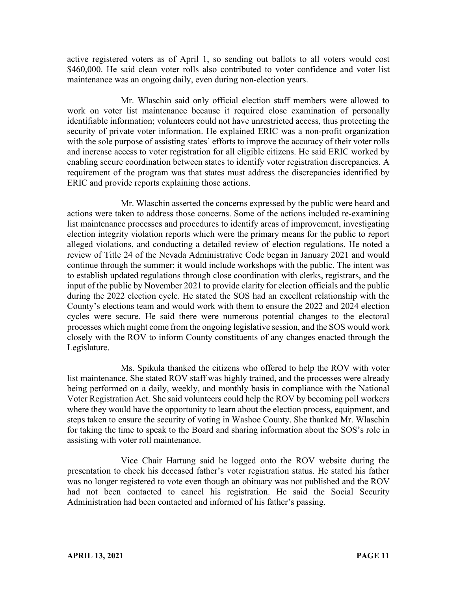active registered voters as of April 1, so sending out ballots to all voters would cost \$460,000. He said clean voter rolls also contributed to voter confidence and voter list maintenance was an ongoing daily, even during non-election years.

Mr. Wlaschin said only official election staff members were allowed to work on voter list maintenance because it required close examination of personally identifiable information; volunteers could not have unrestricted access, thus protecting the security of private voter information. He explained ERIC was a non-profit organization with the sole purpose of assisting states' efforts to improve the accuracy of their voter rolls and increase access to voter registration for all eligible citizens. He said ERIC worked by enabling secure coordination between states to identify voter registration discrepancies. A requirement of the program was that states must address the discrepancies identified by ERIC and provide reports explaining those actions.

Mr. Wlaschin asserted the concerns expressed by the public were heard and actions were taken to address those concerns. Some of the actions included re-examining list maintenance processes and procedures to identify areas of improvement, investigating election integrity violation reports which were the primary means for the public to report alleged violations, and conducting a detailed review of election regulations. He noted a review of Title 24 of the Nevada Administrative Code began in January 2021 and would continue through the summer; it would include workshops with the public. The intent was to establish updated regulations through close coordination with clerks, registrars, and the input of the public by November 2021 to provide clarity for election officials and the public during the 2022 election cycle. He stated the SOS had an excellent relationship with the County's elections team and would work with them to ensure the 2022 and 2024 election cycles were secure. He said there were numerous potential changes to the electoral processes which might come from the ongoing legislative session, and the SOS would work closely with the ROV to inform County constituents of any changes enacted through the Legislature.

Ms. Spikula thanked the citizens who offered to help the ROV with voter list maintenance. She stated ROV staff was highly trained, and the processes were already being performed on a daily, weekly, and monthly basis in compliance with the National Voter Registration Act. She said volunteers could help the ROV by becoming poll workers where they would have the opportunity to learn about the election process, equipment, and steps taken to ensure the security of voting in Washoe County. She thanked Mr. Wlaschin for taking the time to speak to the Board and sharing information about the SOS's role in assisting with voter roll maintenance.

Vice Chair Hartung said he logged onto the ROV website during the presentation to check his deceased father's voter registration status. He stated his father was no longer registered to vote even though an obituary was not published and the ROV had not been contacted to cancel his registration. He said the Social Security Administration had been contacted and informed of his father's passing.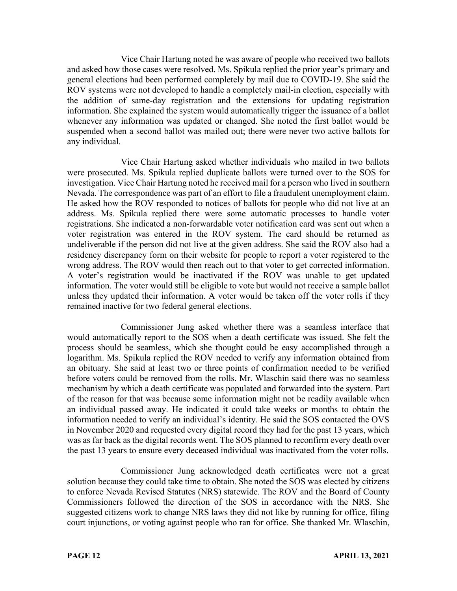Vice Chair Hartung noted he was aware of people who received two ballots and asked how those cases were resolved. Ms. Spikula replied the prior year's primary and general elections had been performed completely by mail due to COVID-19. She said the ROV systems were not developed to handle a completely mail-in election, especially with the addition of same-day registration and the extensions for updating registration information. She explained the system would automatically trigger the issuance of a ballot whenever any information was updated or changed. She noted the first ballot would be suspended when a second ballot was mailed out; there were never two active ballots for any individual.

Vice Chair Hartung asked whether individuals who mailed in two ballots were prosecuted. Ms. Spikula replied duplicate ballots were turned over to the SOS for investigation. Vice Chair Hartung noted he received mail for a person who lived in southern Nevada. The correspondence was part of an effort to file a fraudulent unemployment claim. He asked how the ROV responded to notices of ballots for people who did not live at an address. Ms. Spikula replied there were some automatic processes to handle voter registrations. She indicated a non-forwardable voter notification card was sent out when a voter registration was entered in the ROV system. The card should be returned as undeliverable if the person did not live at the given address. She said the ROV also had a residency discrepancy form on their website for people to report a voter registered to the wrong address. The ROV would then reach out to that voter to get corrected information. A voter's registration would be inactivated if the ROV was unable to get updated information. The voter would still be eligible to vote but would not receive a sample ballot unless they updated their information. A voter would be taken off the voter rolls if they remained inactive for two federal general elections.

Commissioner Jung asked whether there was a seamless interface that would automatically report to the SOS when a death certificate was issued. She felt the process should be seamless, which she thought could be easy accomplished through a logarithm. Ms. Spikula replied the ROV needed to verify any information obtained from an obituary. She said at least two or three points of confirmation needed to be verified before voters could be removed from the rolls. Mr. Wlaschin said there was no seamless mechanism by which a death certificate was populated and forwarded into the system. Part of the reason for that was because some information might not be readily available when an individual passed away. He indicated it could take weeks or months to obtain the information needed to verify an individual's identity. He said the SOS contacted the OVS in November 2020 and requested every digital record they had for the past 13 years, which was as far back as the digital records went. The SOS planned to reconfirm every death over the past 13 years to ensure every deceased individual was inactivated from the voter rolls.

Commissioner Jung acknowledged death certificates were not a great solution because they could take time to obtain. She noted the SOS was elected by citizens to enforce Nevada Revised Statutes (NRS) statewide. The ROV and the Board of County Commissioners followed the direction of the SOS in accordance with the NRS. She suggested citizens work to change NRS laws they did not like by running for office, filing court injunctions, or voting against people who ran for office. She thanked Mr. Wlaschin,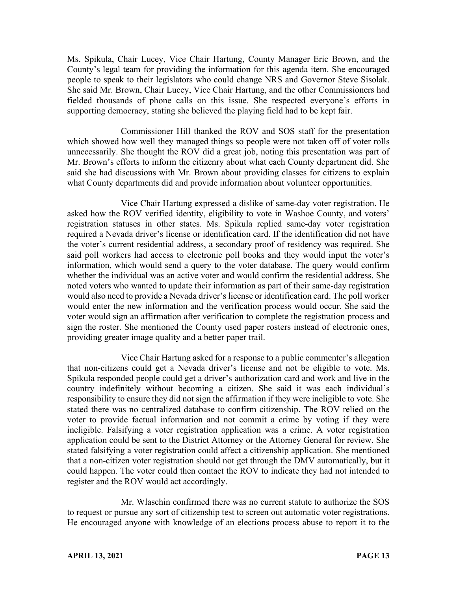Ms. Spikula, Chair Lucey, Vice Chair Hartung, County Manager Eric Brown, and the County's legal team for providing the information for this agenda item. She encouraged people to speak to their legislators who could change NRS and Governor Steve Sisolak. She said Mr. Brown, Chair Lucey, Vice Chair Hartung, and the other Commissioners had fielded thousands of phone calls on this issue. She respected everyone's efforts in supporting democracy, stating she believed the playing field had to be kept fair.

Commissioner Hill thanked the ROV and SOS staff for the presentation which showed how well they managed things so people were not taken off of voter rolls unnecessarily. She thought the ROV did a great job, noting this presentation was part of Mr. Brown's efforts to inform the citizenry about what each County department did. She said she had discussions with Mr. Brown about providing classes for citizens to explain what County departments did and provide information about volunteer opportunities.

Vice Chair Hartung expressed a dislike of same-day voter registration. He asked how the ROV verified identity, eligibility to vote in Washoe County, and voters' registration statuses in other states. Ms. Spikula replied same-day voter registration required a Nevada driver's license or identification card. If the identification did not have the voter's current residential address, a secondary proof of residency was required. She said poll workers had access to electronic poll books and they would input the voter's information, which would send a query to the voter database. The query would confirm whether the individual was an active voter and would confirm the residential address. She noted voters who wanted to update their information as part of their same-day registration would also need to provide a Nevada driver's license or identification card. The poll worker would enter the new information and the verification process would occur. She said the voter would sign an affirmation after verification to complete the registration process and sign the roster. She mentioned the County used paper rosters instead of electronic ones, providing greater image quality and a better paper trail.

Vice Chair Hartung asked for a response to a public commenter's allegation that non-citizens could get a Nevada driver's license and not be eligible to vote. Ms. Spikula responded people could get a driver's authorization card and work and live in the country indefinitely without becoming a citizen. She said it was each individual's responsibility to ensure they did not sign the affirmation if they were ineligible to vote. She stated there was no centralized database to confirm citizenship. The ROV relied on the voter to provide factual information and not commit a crime by voting if they were ineligible. Falsifying a voter registration application was a crime. A voter registration application could be sent to the District Attorney or the Attorney General for review. She stated falsifying a voter registration could affect a citizenship application. She mentioned that a non-citizen voter registration should not get through the DMV automatically, but it could happen. The voter could then contact the ROV to indicate they had not intended to register and the ROV would act accordingly.

Mr. Wlaschin confirmed there was no current statute to authorize the SOS to request or pursue any sort of citizenship test to screen out automatic voter registrations. He encouraged anyone with knowledge of an elections process abuse to report it to the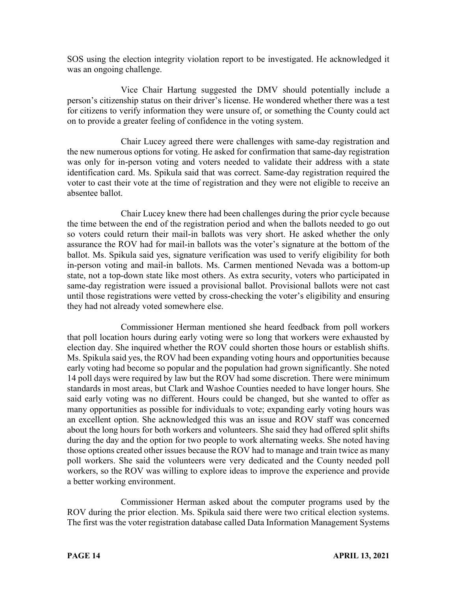SOS using the election integrity violation report to be investigated. He acknowledged it was an ongoing challenge.

Vice Chair Hartung suggested the DMV should potentially include a person's citizenship status on their driver's license. He wondered whether there was a test for citizens to verify information they were unsure of, or something the County could act on to provide a greater feeling of confidence in the voting system.

Chair Lucey agreed there were challenges with same-day registration and the new numerous options for voting. He asked for confirmation that same-day registration was only for in-person voting and voters needed to validate their address with a state identification card. Ms. Spikula said that was correct. Same-day registration required the voter to cast their vote at the time of registration and they were not eligible to receive an absentee ballot.

Chair Lucey knew there had been challenges during the prior cycle because the time between the end of the registration period and when the ballots needed to go out so voters could return their mail-in ballots was very short. He asked whether the only assurance the ROV had for mail-in ballots was the voter's signature at the bottom of the ballot. Ms. Spikula said yes, signature verification was used to verify eligibility for both in-person voting and mail-in ballots. Ms. Carmen mentioned Nevada was a bottom-up state, not a top-down state like most others. As extra security, voters who participated in same-day registration were issued a provisional ballot. Provisional ballots were not cast until those registrations were vetted by cross-checking the voter's eligibility and ensuring they had not already voted somewhere else.

Commissioner Herman mentioned she heard feedback from poll workers that poll location hours during early voting were so long that workers were exhausted by election day. She inquired whether the ROV could shorten those hours or establish shifts. Ms. Spikula said yes, the ROV had been expanding voting hours and opportunities because early voting had become so popular and the population had grown significantly. She noted 14 poll days were required by law but the ROV had some discretion. There were minimum standards in most areas, but Clark and Washoe Counties needed to have longer hours. She said early voting was no different. Hours could be changed, but she wanted to offer as many opportunities as possible for individuals to vote; expanding early voting hours was an excellent option. She acknowledged this was an issue and ROV staff was concerned about the long hours for both workers and volunteers. She said they had offered split shifts during the day and the option for two people to work alternating weeks. She noted having those options created other issues because the ROV had to manage and train twice as many poll workers. She said the volunteers were very dedicated and the County needed poll workers, so the ROV was willing to explore ideas to improve the experience and provide a better working environment.

Commissioner Herman asked about the computer programs used by the ROV during the prior election. Ms. Spikula said there were two critical election systems. The first was the voter registration database called Data Information Management Systems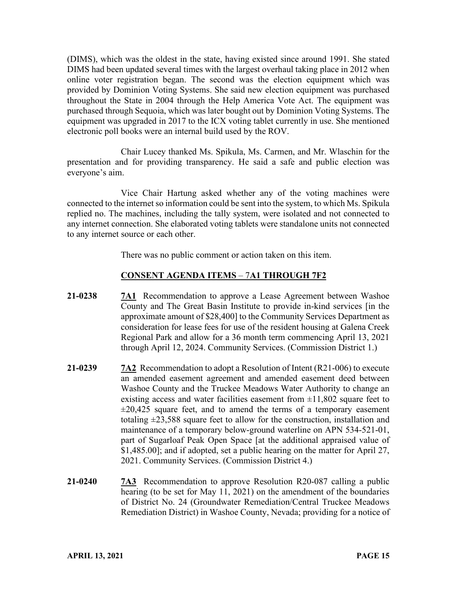(DIMS), which was the oldest in the state, having existed since around 1991. She stated DIMS had been updated several times with the largest overhaul taking place in 2012 when online voter registration began. The second was the election equipment which was provided by Dominion Voting Systems. She said new election equipment was purchased throughout the State in 2004 through the Help America Vote Act. The equipment was purchased through Sequoia, which was later bought out by Dominion Voting Systems. The equipment was upgraded in 2017 to the ICX voting tablet currently in use. She mentioned electronic poll books were an internal build used by the ROV.

Chair Lucey thanked Ms. Spikula, Ms. Carmen, and Mr. Wlaschin for the presentation and for providing transparency. He said a safe and public election was everyone's aim.

Vice Chair Hartung asked whether any of the voting machines were connected to the internet so information could be sent into the system, to which Ms. Spikula replied no. The machines, including the tally system, were isolated and not connected to any internet connection. She elaborated voting tablets were standalone units not connected to any internet source or each other.

There was no public comment or action taken on this item.

# **CONSENT AGENDA ITEMS** – 7**A1 THROUGH 7F2**

- **21-0238 7A1** Recommendation to approve a Lease Agreement between Washoe County and The Great Basin Institute to provide in-kind services [in the approximate amount of \$28,400] to the Community Services Department as consideration for lease fees for use of the resident housing at Galena Creek Regional Park and allow for a 36 month term commencing April 13, 2021 through April 12, 2024. Community Services. (Commission District 1.)
- **21-0239 7A2** Recommendation to adopt a Resolution of Intent (R21-006) to execute an amended easement agreement and amended easement deed between Washoe County and the Truckee Meadows Water Authority to change an existing access and water facilities easement from  $\pm 11,802$  square feet to  $\pm 20,425$  square feet, and to amend the terms of a temporary easement totaling  $\pm 23.588$  square feet to allow for the construction, installation and maintenance of a temporary below-ground waterline on APN 534-521-01, part of Sugarloaf Peak Open Space [at the additional appraised value of \$1,485.00]; and if adopted, set a public hearing on the matter for April 27, 2021. Community Services. (Commission District 4.)
- **21-0240 7A3** Recommendation to approve Resolution R20-087 calling a public hearing (to be set for May 11, 2021) on the amendment of the boundaries of District No. 24 (Groundwater Remediation/Central Truckee Meadows Remediation District) in Washoe County, Nevada; providing for a notice of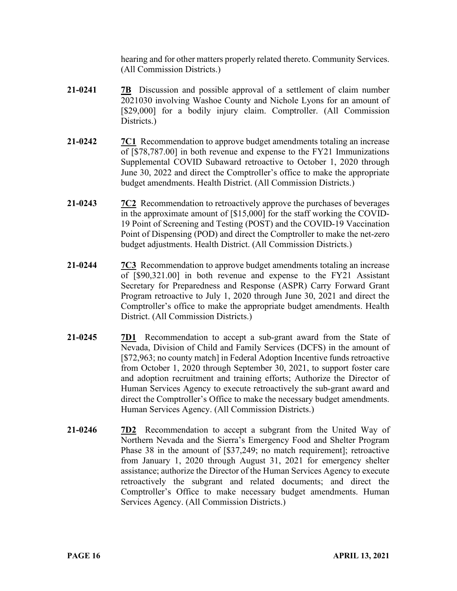hearing and for other matters properly related thereto. Community Services. (All Commission Districts.)

- **21-0241 7B** Discussion and possible approval of a settlement of claim number 2021030 involving Washoe County and Nichole Lyons for an amount of [\$29,000] for a bodily injury claim. Comptroller. (All Commission Districts.)
- **21-0242 7C1** Recommendation to approve budget amendments totaling an increase of [\$78,787.00] in both revenue and expense to the FY21 Immunizations Supplemental COVID Subaward retroactive to October 1, 2020 through June 30, 2022 and direct the Comptroller's office to make the appropriate budget amendments. Health District. (All Commission Districts.)
- **21-0243 7C2** Recommendation to retroactively approve the purchases of beverages in the approximate amount of [\$15,000] for the staff working the COVID-19 Point of Screening and Testing (POST) and the COVID-19 Vaccination Point of Dispensing (POD) and direct the Comptroller to make the net-zero budget adjustments. Health District. (All Commission Districts.)
- **21-0244 7C3** Recommendation to approve budget amendments totaling an increase of [\$90,321.00] in both revenue and expense to the FY21 Assistant Secretary for Preparedness and Response (ASPR) Carry Forward Grant Program retroactive to July 1, 2020 through June 30, 2021 and direct the Comptroller's office to make the appropriate budget amendments. Health District. (All Commission Districts.)
- **21-0245 7D1** Recommendation to accept a sub-grant award from the State of Nevada, Division of Child and Family Services (DCFS) in the amount of [\$72,963; no county match] in Federal Adoption Incentive funds retroactive from October 1, 2020 through September 30, 2021, to support foster care and adoption recruitment and training efforts; Authorize the Director of Human Services Agency to execute retroactively the sub-grant award and direct the Comptroller's Office to make the necessary budget amendments. Human Services Agency. (All Commission Districts.)
- **21-0246 7D2** Recommendation to accept a subgrant from the United Way of Northern Nevada and the Sierra's Emergency Food and Shelter Program Phase 38 in the amount of [\$37,249; no match requirement]; retroactive from January 1, 2020 through August 31, 2021 for emergency shelter assistance; authorize the Director of the Human Services Agency to execute retroactively the subgrant and related documents; and direct the Comptroller's Office to make necessary budget amendments. Human Services Agency. (All Commission Districts.)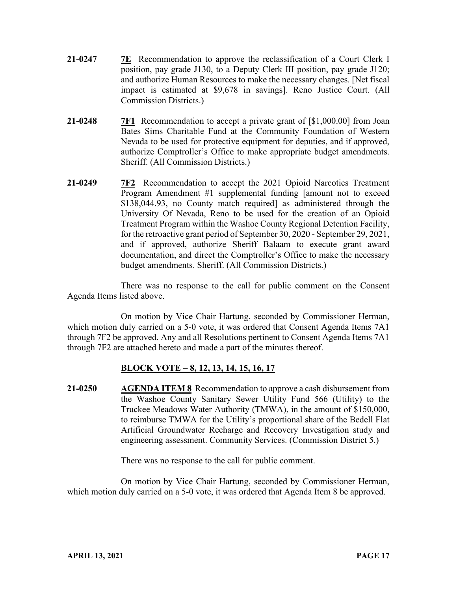- **21-0247 7E** Recommendation to approve the reclassification of a Court Clerk I position, pay grade J130, to a Deputy Clerk III position, pay grade J120; and authorize Human Resources to make the necessary changes. [Net fiscal impact is estimated at \$9,678 in savings]. Reno Justice Court. (All Commission Districts.)
- **21-0248 7F1** Recommendation to accept a private grant of [\$1,000.00] from Joan Bates Sims Charitable Fund at the Community Foundation of Western Nevada to be used for protective equipment for deputies, and if approved, authorize Comptroller's Office to make appropriate budget amendments. Sheriff. (All Commission Districts.)
- **21-0249 7F2** Recommendation to accept the 2021 Opioid Narcotics Treatment Program Amendment #1 supplemental funding [amount not to exceed \$138,044.93, no County match required] as administered through the University Of Nevada, Reno to be used for the creation of an Opioid Treatment Program within the Washoe County Regional Detention Facility, for the retroactive grant period of September 30, 2020 - September 29, 2021, and if approved, authorize Sheriff Balaam to execute grant award documentation, and direct the Comptroller's Office to make the necessary budget amendments. Sheriff. (All Commission Districts.)

There was no response to the call for public comment on the Consent Agenda Items listed above.

On motion by Vice Chair Hartung, seconded by Commissioner Herman, which motion duly carried on a 5-0 vote, it was ordered that Consent Agenda Items 7A1 through 7F2 be approved. Any and all Resolutions pertinent to Consent Agenda Items 7A1 through 7F2 are attached hereto and made a part of the minutes thereof.

# **BLOCK VOTE – 8, 12, 13, 14, 15, 16, 17**

**21-0250 AGENDA ITEM 8** Recommendation to approve a cash disbursement from the Washoe County Sanitary Sewer Utility Fund 566 (Utility) to the Truckee Meadows Water Authority (TMWA), in the amount of \$150,000, to reimburse TMWA for the Utility's proportional share of the Bedell Flat Artificial Groundwater Recharge and Recovery Investigation study and engineering assessment. Community Services. (Commission District 5.)

There was no response to the call for public comment.

On motion by Vice Chair Hartung, seconded by Commissioner Herman, which motion duly carried on a 5-0 vote, it was ordered that Agenda Item 8 be approved.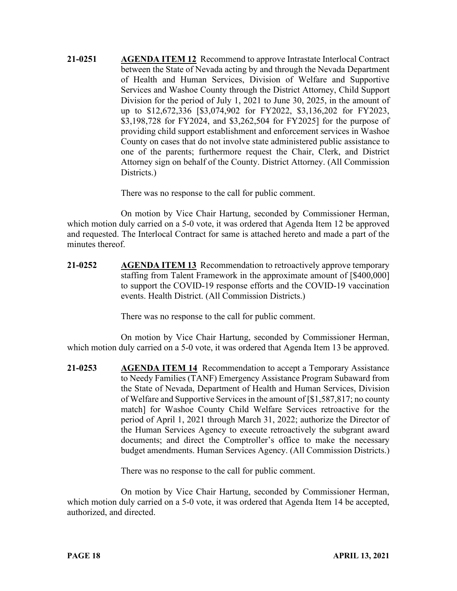**21-0251 AGENDA ITEM 12** Recommend to approve Intrastate Interlocal Contract between the State of Nevada acting by and through the Nevada Department of Health and Human Services, Division of Welfare and Supportive Services and Washoe County through the District Attorney, Child Support Division for the period of July 1, 2021 to June 30, 2025, in the amount of up to \$12,672,336 [\$3,074,902 for FY2022, \$3,136,202 for FY2023, \$3,198,728 for FY2024, and \$3,262,504 for FY2025] for the purpose of providing child support establishment and enforcement services in Washoe County on cases that do not involve state administered public assistance to one of the parents; furthermore request the Chair, Clerk, and District Attorney sign on behalf of the County. District Attorney. (All Commission Districts.)

There was no response to the call for public comment.

On motion by Vice Chair Hartung, seconded by Commissioner Herman, which motion duly carried on a 5-0 vote, it was ordered that Agenda Item 12 be approved and requested. The Interlocal Contract for same is attached hereto and made a part of the minutes thereof.

**21-0252 AGENDA ITEM 13** Recommendation to retroactively approve temporary staffing from Talent Framework in the approximate amount of [\$400,000] to support the COVID-19 response efforts and the COVID-19 vaccination events. Health District. (All Commission Districts.)

There was no response to the call for public comment.

On motion by Vice Chair Hartung, seconded by Commissioner Herman, which motion duly carried on a 5-0 vote, it was ordered that Agenda Item 13 be approved.

**21-0253 AGENDA ITEM 14** Recommendation to accept a Temporary Assistance to Needy Families (TANF) Emergency Assistance Program Subaward from the State of Nevada, Department of Health and Human Services, Division of Welfare and Supportive Services in the amount of [\$1,587,817; no county match] for Washoe County Child Welfare Services retroactive for the period of April 1, 2021 through March 31, 2022; authorize the Director of the Human Services Agency to execute retroactively the subgrant award documents; and direct the Comptroller's office to make the necessary budget amendments. Human Services Agency. (All Commission Districts.)

There was no response to the call for public comment.

On motion by Vice Chair Hartung, seconded by Commissioner Herman, which motion duly carried on a 5-0 vote, it was ordered that Agenda Item 14 be accepted, authorized, and directed.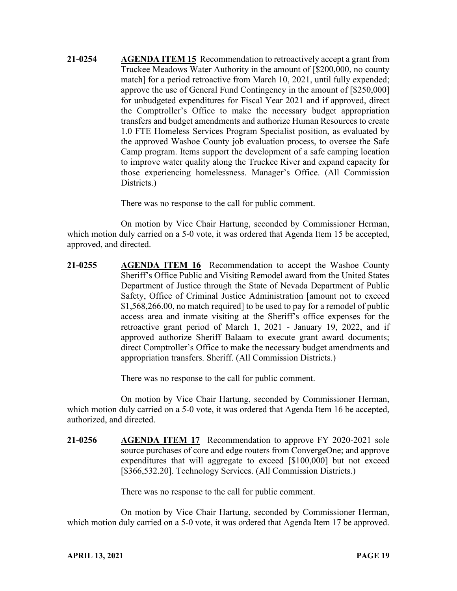**21-0254 AGENDA ITEM 15** Recommendation to retroactively accept a grant from Truckee Meadows Water Authority in the amount of [\$200,000, no county match] for a period retroactive from March 10, 2021, until fully expended; approve the use of General Fund Contingency in the amount of [\$250,000] for unbudgeted expenditures for Fiscal Year 2021 and if approved, direct the Comptroller's Office to make the necessary budget appropriation transfers and budget amendments and authorize Human Resources to create 1.0 FTE Homeless Services Program Specialist position, as evaluated by the approved Washoe County job evaluation process, to oversee the Safe Camp program. Items support the development of a safe camping location to improve water quality along the Truckee River and expand capacity for those experiencing homelessness. Manager's Office. (All Commission Districts.)

There was no response to the call for public comment.

On motion by Vice Chair Hartung, seconded by Commissioner Herman, which motion duly carried on a 5-0 vote, it was ordered that Agenda Item 15 be accepted, approved, and directed.

**21-0255 AGENDA ITEM 16** Recommendation to accept the Washoe County Sheriff's Office Public and Visiting Remodel award from the United States Department of Justice through the State of Nevada Department of Public Safety, Office of Criminal Justice Administration [amount not to exceed \$1,568,266.00, no match required] to be used to pay for a remodel of public access area and inmate visiting at the Sheriff's office expenses for the retroactive grant period of March 1, 2021 - January 19, 2022, and if approved authorize Sheriff Balaam to execute grant award documents; direct Comptroller's Office to make the necessary budget amendments and appropriation transfers. Sheriff. (All Commission Districts.)

There was no response to the call for public comment.

On motion by Vice Chair Hartung, seconded by Commissioner Herman, which motion duly carried on a 5-0 vote, it was ordered that Agenda Item 16 be accepted, authorized, and directed.

**21-0256 AGENDA ITEM 17** Recommendation to approve FY 2020-2021 sole source purchases of core and edge routers from ConvergeOne; and approve expenditures that will aggregate to exceed [\$100,000] but not exceed [\$366,532.20]. Technology Services. (All Commission Districts.)

There was no response to the call for public comment.

On motion by Vice Chair Hartung, seconded by Commissioner Herman, which motion duly carried on a 5-0 vote, it was ordered that Agenda Item 17 be approved.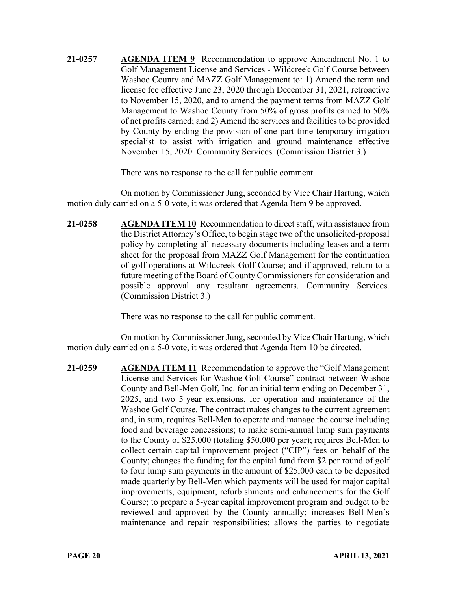**21-0257 AGENDA ITEM 9** Recommendation to approve Amendment No. 1 to Golf Management License and Services - Wildcreek Golf Course between Washoe County and MAZZ Golf Management to: 1) Amend the term and license fee effective June 23, 2020 through December 31, 2021, retroactive to November 15, 2020, and to amend the payment terms from MAZZ Golf Management to Washoe County from 50% of gross profits earned to 50% of net profits earned; and 2) Amend the services and facilities to be provided by County by ending the provision of one part-time temporary irrigation specialist to assist with irrigation and ground maintenance effective November 15, 2020. Community Services. (Commission District 3.)

There was no response to the call for public comment.

On motion by Commissioner Jung, seconded by Vice Chair Hartung, which motion duly carried on a 5-0 vote, it was ordered that Agenda Item 9 be approved.

**21-0258 AGENDA ITEM 10** Recommendation to direct staff, with assistance from the District Attorney's Office, to begin stage two of the unsolicited-proposal policy by completing all necessary documents including leases and a term sheet for the proposal from MAZZ Golf Management for the continuation of golf operations at Wildcreek Golf Course; and if approved, return to a future meeting of the Board of County Commissioners for consideration and possible approval any resultant agreements. Community Services. (Commission District 3.)

There was no response to the call for public comment.

On motion by Commissioner Jung, seconded by Vice Chair Hartung, which motion duly carried on a 5-0 vote, it was ordered that Agenda Item 10 be directed.

**21-0259 AGENDA ITEM 11** Recommendation to approve the "Golf Management License and Services for Washoe Golf Course" contract between Washoe County and Bell-Men Golf, Inc. for an initial term ending on December 31, 2025, and two 5-year extensions, for operation and maintenance of the Washoe Golf Course. The contract makes changes to the current agreement and, in sum, requires Bell-Men to operate and manage the course including food and beverage concessions; to make semi-annual lump sum payments to the County of \$25,000 (totaling \$50,000 per year); requires Bell-Men to collect certain capital improvement project ("CIP") fees on behalf of the County; changes the funding for the capital fund from \$2 per round of golf to four lump sum payments in the amount of \$25,000 each to be deposited made quarterly by Bell-Men which payments will be used for major capital improvements, equipment, refurbishments and enhancements for the Golf Course; to prepare a 5-year capital improvement program and budget to be reviewed and approved by the County annually; increases Bell-Men's maintenance and repair responsibilities; allows the parties to negotiate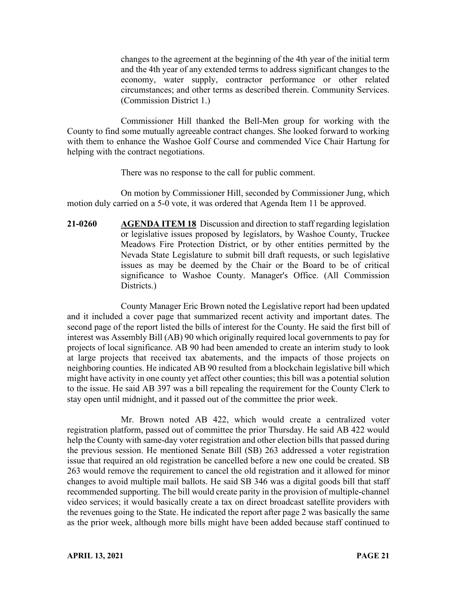changes to the agreement at the beginning of the 4th year of the initial term and the 4th year of any extended terms to address significant changes to the economy, water supply, contractor performance or other related circumstances; and other terms as described therein. Community Services. (Commission District 1.)

Commissioner Hill thanked the Bell-Men group for working with the County to find some mutually agreeable contract changes. She looked forward to working with them to enhance the Washoe Golf Course and commended Vice Chair Hartung for helping with the contract negotiations.

There was no response to the call for public comment.

On motion by Commissioner Hill, seconded by Commissioner Jung, which motion duly carried on a 5-0 vote, it was ordered that Agenda Item 11 be approved.

**21-0260 AGENDA ITEM 18** Discussion and direction to staff regarding legislation or legislative issues proposed by legislators, by Washoe County, Truckee Meadows Fire Protection District, or by other entities permitted by the Nevada State Legislature to submit bill draft requests, or such legislative issues as may be deemed by the Chair or the Board to be of critical significance to Washoe County. Manager's Office. (All Commission Districts.)

County Manager Eric Brown noted the Legislative report had been updated and it included a cover page that summarized recent activity and important dates. The second page of the report listed the bills of interest for the County. He said the first bill of interest was Assembly Bill (AB) 90 which originally required local governments to pay for projects of local significance. AB 90 had been amended to create an interim study to look at large projects that received tax abatements, and the impacts of those projects on neighboring counties. He indicated AB 90 resulted from a blockchain legislative bill which might have activity in one county yet affect other counties; this bill was a potential solution to the issue. He said AB 397 was a bill repealing the requirement for the County Clerk to stay open until midnight, and it passed out of the committee the prior week.

Mr. Brown noted AB 422, which would create a centralized voter registration platform, passed out of committee the prior Thursday. He said AB 422 would help the County with same-day voter registration and other election bills that passed during the previous session. He mentioned Senate Bill (SB) 263 addressed a voter registration issue that required an old registration be cancelled before a new one could be created. SB 263 would remove the requirement to cancel the old registration and it allowed for minor changes to avoid multiple mail ballots. He said SB 346 was a digital goods bill that staff recommended supporting. The bill would create parity in the provision of multiple-channel video services; it would basically create a tax on direct broadcast satellite providers with the revenues going to the State. He indicated the report after page 2 was basically the same as the prior week, although more bills might have been added because staff continued to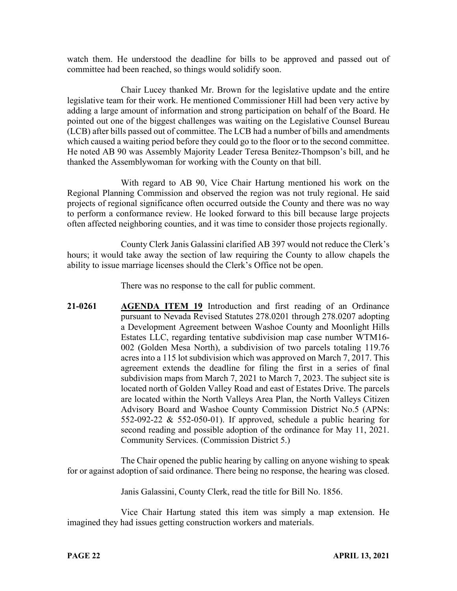watch them. He understood the deadline for bills to be approved and passed out of committee had been reached, so things would solidify soon.

Chair Lucey thanked Mr. Brown for the legislative update and the entire legislative team for their work. He mentioned Commissioner Hill had been very active by adding a large amount of information and strong participation on behalf of the Board. He pointed out one of the biggest challenges was waiting on the Legislative Counsel Bureau (LCB) after bills passed out of committee. The LCB had a number of bills and amendments which caused a waiting period before they could go to the floor or to the second committee. He noted AB 90 was Assembly Majority Leader Teresa Benitez-Thompson's bill, and he thanked the Assemblywoman for working with the County on that bill.

With regard to AB 90, Vice Chair Hartung mentioned his work on the Regional Planning Commission and observed the region was not truly regional. He said projects of regional significance often occurred outside the County and there was no way to perform a conformance review. He looked forward to this bill because large projects often affected neighboring counties, and it was time to consider those projects regionally.

County Clerk Janis Galassini clarified AB 397 would not reduce the Clerk's hours; it would take away the section of law requiring the County to allow chapels the ability to issue marriage licenses should the Clerk's Office not be open.

There was no response to the call for public comment.

**21-0261 AGENDA ITEM 19** Introduction and first reading of an Ordinance pursuant to Nevada Revised Statutes 278.0201 through 278.0207 adopting a Development Agreement between Washoe County and Moonlight Hills Estates LLC, regarding tentative subdivision map case number WTM16- 002 (Golden Mesa North), a subdivision of two parcels totaling 119.76 acres into a 115 lot subdivision which was approved on March 7, 2017. This agreement extends the deadline for filing the first in a series of final subdivision maps from March 7, 2021 to March 7, 2023. The subject site is located north of Golden Valley Road and east of Estates Drive. The parcels are located within the North Valleys Area Plan, the North Valleys Citizen Advisory Board and Washoe County Commission District No.5 (APNs: 552-092-22 & 552-050-01). If approved, schedule a public hearing for second reading and possible adoption of the ordinance for May 11, 2021. Community Services. (Commission District 5.)

The Chair opened the public hearing by calling on anyone wishing to speak for or against adoption of said ordinance. There being no response, the hearing was closed.

Janis Galassini, County Clerk, read the title for Bill No. 1856.

Vice Chair Hartung stated this item was simply a map extension. He imagined they had issues getting construction workers and materials.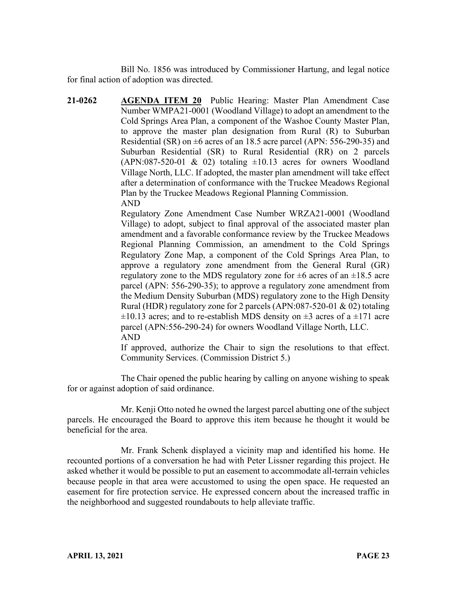Bill No. 1856 was introduced by Commissioner Hartung, and legal notice for final action of adoption was directed.

**21-0262 AGENDA ITEM 20** Public Hearing: Master Plan Amendment Case Number WMPA21-0001 (Woodland Village) to adopt an amendment to the Cold Springs Area Plan, a component of the Washoe County Master Plan, to approve the master plan designation from Rural (R) to Suburban Residential (SR) on  $\pm 6$  acres of an 18.5 acre parcel (APN: 556-290-35) and Suburban Residential (SR) to Rural Residential (RR) on 2 parcels  $(APN:087-520-01 \& 02)$  totaling  $\pm 10.13$  acres for owners Woodland Village North, LLC. If adopted, the master plan amendment will take effect after a determination of conformance with the Truckee Meadows Regional Plan by the Truckee Meadows Regional Planning Commission. AND

> Regulatory Zone Amendment Case Number WRZA21-0001 (Woodland Village) to adopt, subject to final approval of the associated master plan amendment and a favorable conformance review by the Truckee Meadows Regional Planning Commission, an amendment to the Cold Springs Regulatory Zone Map, a component of the Cold Springs Area Plan, to approve a regulatory zone amendment from the General Rural (GR) regulatory zone to the MDS regulatory zone for  $\pm 6$  acres of an  $\pm 18.5$  acre parcel (APN: 556-290-35); to approve a regulatory zone amendment from the Medium Density Suburban (MDS) regulatory zone to the High Density Rural (HDR) regulatory zone for 2 parcels (APN:087-520-01 & 02) totaling  $\pm 10.13$  acres; and to re-establish MDS density on  $\pm 3$  acres of a  $\pm 171$  acre parcel (APN:556-290-24) for owners Woodland Village North, LLC. AND

> If approved, authorize the Chair to sign the resolutions to that effect. Community Services. (Commission District 5.)

The Chair opened the public hearing by calling on anyone wishing to speak for or against adoption of said ordinance.

Mr. Kenji Otto noted he owned the largest parcel abutting one of the subject parcels. He encouraged the Board to approve this item because he thought it would be beneficial for the area.

Mr. Frank Schenk displayed a vicinity map and identified his home. He recounted portions of a conversation he had with Peter Lissner regarding this project. He asked whether it would be possible to put an easement to accommodate all-terrain vehicles because people in that area were accustomed to using the open space. He requested an easement for fire protection service. He expressed concern about the increased traffic in the neighborhood and suggested roundabouts to help alleviate traffic.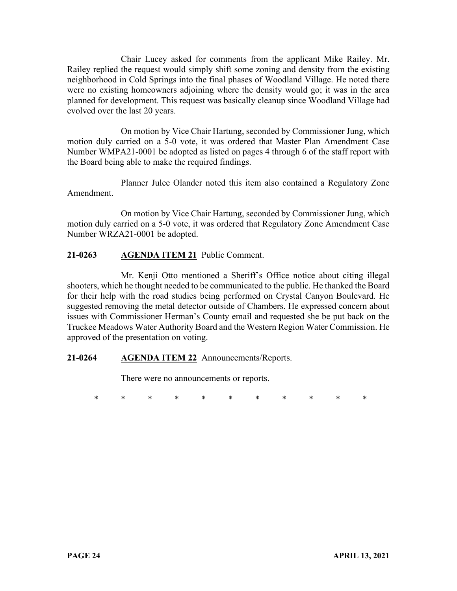Chair Lucey asked for comments from the applicant Mike Railey. Mr. Railey replied the request would simply shift some zoning and density from the existing neighborhood in Cold Springs into the final phases of Woodland Village. He noted there were no existing homeowners adjoining where the density would go; it was in the area planned for development. This request was basically cleanup since Woodland Village had evolved over the last 20 years.

On motion by Vice Chair Hartung, seconded by Commissioner Jung, which motion duly carried on a 5-0 vote, it was ordered that Master Plan Amendment Case Number WMPA21-0001 be adopted as listed on pages 4 through 6 of the staff report with the Board being able to make the required findings.

Planner Julee Olander noted this item also contained a Regulatory Zone Amendment.

On motion by Vice Chair Hartung, seconded by Commissioner Jung, which motion duly carried on a 5-0 vote, it was ordered that Regulatory Zone Amendment Case Number WRZA21-0001 be adopted.

# **21-0263 AGENDA ITEM 21** Public Comment.

Mr. Kenji Otto mentioned a Sheriff's Office notice about citing illegal shooters, which he thought needed to be communicated to the public. He thanked the Board for their help with the road studies being performed on Crystal Canyon Boulevard. He suggested removing the metal detector outside of Chambers. He expressed concern about issues with Commissioner Herman's County email and requested she be put back on the Truckee Meadows Water Authority Board and the Western Region Water Commission. He approved of the presentation on voting.

#### **21-0264 AGENDA ITEM 22** Announcements/Reports.

There were no announcements or reports.

\* \* \* \* \* \* \* \* \* \* \*